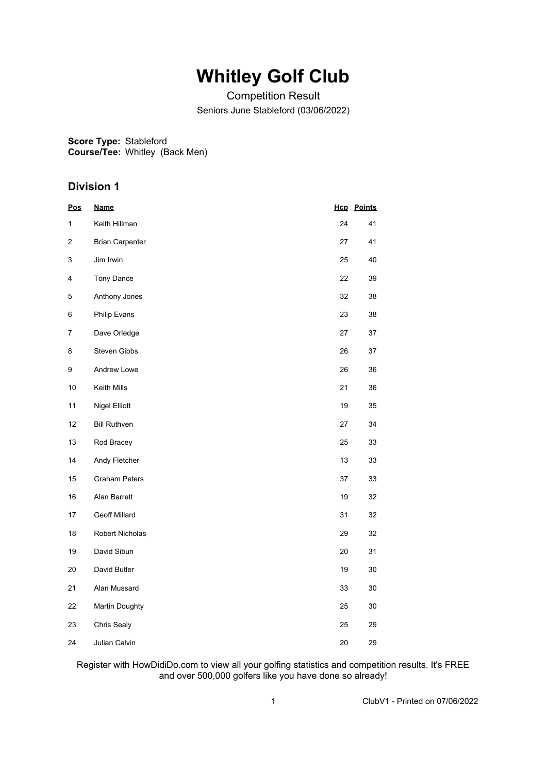## **Whitley Golf Club**

Competition Result Seniors June Stableford (03/06/2022)

**Score Type:** Stableford

**Course/Tee:** Whitley (Back Men)

#### **Division 1**

| <u>Pos</u> | <b>Name</b>            |    | <b>Hcp</b> Points |
|------------|------------------------|----|-------------------|
| 1          | Keith Hillman          | 24 | 41                |
| 2          | <b>Brian Carpenter</b> | 27 | 41                |
| 3          | Jim Irwin              | 25 | 40                |
| 4          | Tony Dance             | 22 | 39                |
| 5          | Anthony Jones          | 32 | 38                |
| 6          | Philip Evans           | 23 | 38                |
| 7          | Dave Orledge           | 27 | 37                |
| 8          | Steven Gibbs           | 26 | 37                |
| 9          | Andrew Lowe            | 26 | 36                |
| $10$       | Keith Mills            | 21 | 36                |
| 11         | <b>Nigel Elliott</b>   | 19 | 35                |
| 12         | <b>Bill Ruthven</b>    | 27 | 34                |
| 13         | Rod Bracey             | 25 | 33                |
| 14         | Andy Fletcher          | 13 | 33                |
| 15         | <b>Graham Peters</b>   | 37 | 33                |
| 16         | Alan Barrett           | 19 | 32                |
| 17         | Geoff Millard          | 31 | 32                |
| 18         | Robert Nicholas        | 29 | 32                |
| 19         | David Sibun            | 20 | 31                |
| 20         | David Butler           | 19 | $30\,$            |
| 21         | Alan Mussard           | 33 | 30                |
| 22         | <b>Martin Doughty</b>  | 25 | 30                |
| 23         | Chris Sealy            | 25 | 29                |
| 24         | Julian Calvin          | 20 | 29                |

#### Register with HowDidiDo.com to view all your golfing statistics and competition results. It's FREE and over 500,000 golfers like you have done so already!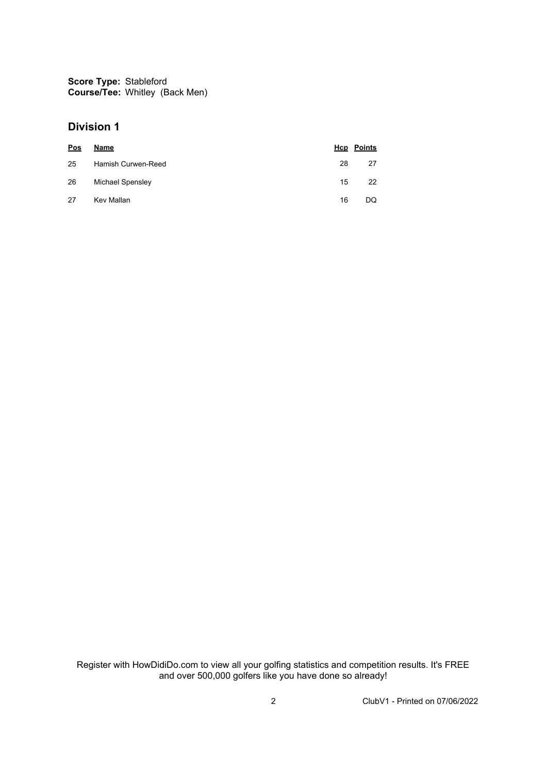**Score Type:** Stableford **Course/Tee:** Whitley (Back Men)

#### **Division 1**

| <b>Pos</b> | Name               |    | <b>Hcp</b> Points |
|------------|--------------------|----|-------------------|
| 25         | Hamish Curwen-Reed | 28 | 27                |
| 26         | Michael Spensley   | 15 | 22                |
| 27         | Kev Mallan         | 16 | DQ.               |

Register with HowDidiDo.com to view all your golfing statistics and competition results. It's FREE and over 500,000 golfers like you have done so already!